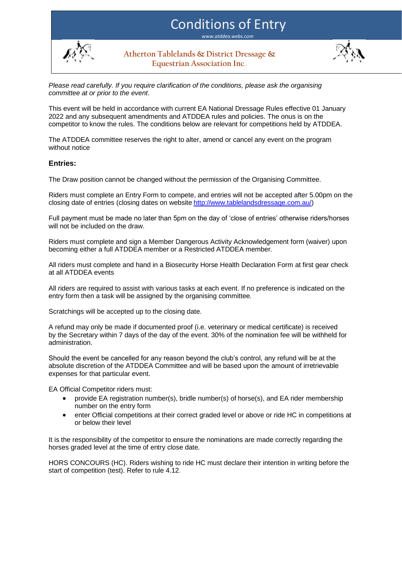# Conditions of Entry

*www.atddea.webs.com*



**Atherton Tablelands & District Dressage & Equestrian Association Inc.**



*Please read carefully. If you require clarification of the conditions, please ask the organising committee at or prior to the event*.

This event will be held in accordance with current EA National Dressage Rules effective 01 January 2022 and any subsequent amendments and ATDDEA rules and policies. The onus is on the competitor to know the rules. The conditions below are relevant for competitions held by ATDDEA.

The ATDDEA committee reserves the right to alter, amend or cancel any event on the program without notice

## **Entries:**

The Draw position cannot be changed without the permission of the Organising Committee.

Riders must complete an Entry Form to compete, and entries will not be accepted after 5.00pm on the closing date of entries (closing dates on website [http://www.tablelandsdressage.com.au/\)](http://www.tablelandsdressage.com.au/)

Full payment must be made no later than 5pm on the day of 'close of entries' otherwise riders/horses will not be included on the draw.

Riders must complete and sign a Member Dangerous Activity Acknowledgement form (waiver) upon becoming either a full ATDDEA member or a Restricted ATDDEA member.

All riders must complete and hand in a Biosecurity Horse Health Declaration Form at first gear check at all ATDDEA events

All riders are required to assist with various tasks at each event. If no preference is indicated on the entry form then a task will be assigned by the organising committee.

Scratchings will be accepted up to the closing date.

A refund may only be made if documented proof (i.e. veterinary or medical certificate) is received by the Secretary within 7 days of the day of the event. 30% of the nomination fee will be withheld for administration.

Should the event be cancelled for any reason beyond the club's control, any refund will be at the absolute discretion of the ATDDEA Committee and will be based upon the amount of irretrievable expenses for that particular event.

EA Official Competitor riders must:

- provide EA registration number(s), bridle number(s) of horse(s), and EA rider membership number on the entry form
- enter Official competitions at their correct graded level or above or ride HC in competitions at or below their level

It is the responsibility of the competitor to ensure the nominations are made correctly regarding the horses graded level at the time of entry close date.

HORS CONCOURS (HC). Riders wishing to ride HC must declare their intention in writing before the start of competition (test). Refer to rule 4.12.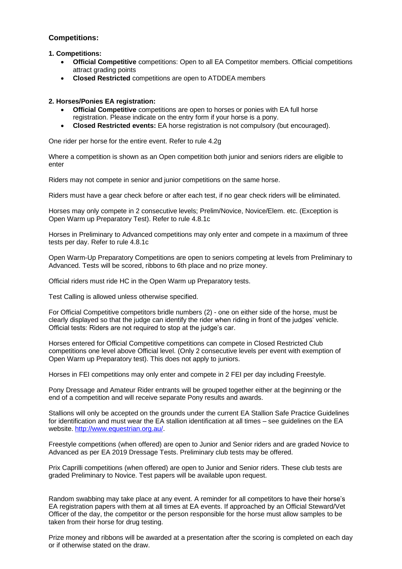## **Competitions:**

## **1. Competitions:**

- **Official Competitive** competitions: Open to all EA Competitor members. Official competitions attract grading points
- **Closed Restricted** competitions are open to ATDDEA members

## **2. Horses/Ponies EA registration:**

- **Official Competitive** competitions are open to horses or ponies with EA full horse registration. Please indicate on the entry form if your horse is a pony.
- **Closed Restricted events:** EA horse registration is not compulsory (but encouraged).

One rider per horse for the entire event. Refer to rule 4.2g

Where a competition is shown as an Open competition both junior and seniors riders are eligible to enter

Riders may not compete in senior and junior competitions on the same horse.

Riders must have a gear check before or after each test, if no gear check riders will be eliminated.

Horses may only compete in 2 consecutive levels; Prelim/Novice, Novice/Elem. etc. (Exception is Open Warm up Preparatory Test). Refer to rule 4.8.1c

Horses in Preliminary to Advanced competitions may only enter and compete in a maximum of three tests per day. Refer to rule 4.8.1c

Open Warm-Up Preparatory Competitions are open to seniors competing at levels from Preliminary to Advanced. Tests will be scored, ribbons to 6th place and no prize money.

Official riders must ride HC in the Open Warm up Preparatory tests.

Test Calling is allowed unless otherwise specified.

For Official Competitive competitors bridle numbers (2) - one on either side of the horse, must be clearly displayed so that the judge can identify the rider when riding in front of the judges' vehicle. Official tests: Riders are not required to stop at the judge's car.

Horses entered for Official Competitive competitions can compete in Closed Restricted Club competitions one level above Official level. (Only 2 consecutive levels per event with exemption of Open Warm up Preparatory test). This does not apply to juniors.

Horses in FEI competitions may only enter and compete in 2 FEI per day including Freestyle.

Pony Dressage and Amateur Rider entrants will be grouped together either at the beginning or the end of a competition and will receive separate Pony results and awards.

Stallions will only be accepted on the grounds under the current EA Stallion Safe Practice Guidelines for identification and must wear the EA stallion identification at all times – see guidelines on the EA website. [http://www.equestrian.org.au/.](http://www.equestrian.org.au/)

Freestyle competitions (when offered) are open to Junior and Senior riders and are graded Novice to Advanced as per EA 2019 Dressage Tests. Preliminary club tests may be offered.

Prix Caprilli competitions (when offered) are open to Junior and Senior riders. These club tests are graded Preliminary to Novice. Test papers will be available upon request.

Random swabbing may take place at any event. A reminder for all competitors to have their horse's EA registration papers with them at all times at EA events. If approached by an Official Steward/Vet Officer of the day, the competitor or the person responsible for the horse must allow samples to be taken from their horse for drug testing.

Prize money and ribbons will be awarded at a presentation after the scoring is completed on each day or if otherwise stated on the draw.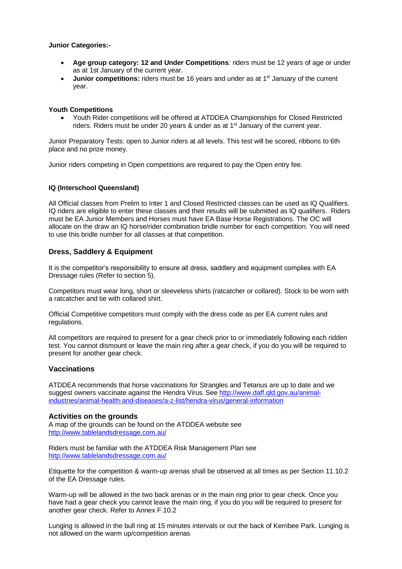#### **Junior Categories:-**

- **Age group category: 12 and Under Competitions**: riders must be 12 years of age or under as at 1st January of the current year.
- **Junior competitions:** riders must be 16 years and under as at 1<sup>st</sup> January of the current year.

#### **Youth Competitions**

• Youth Rider competitions will be offered at ATDDEA Championships for Closed Restricted riders. Riders must be under 20 years & under as at 1<sup>st</sup> January of the current year.

Junior Preparatory Tests: open to Junior riders at all levels. This test will be scored, ribbons to 6th place and no prize money.

Junior riders competing in Open competitions are required to pay the Open entry fee.

#### **IQ (Interschool Queensland)**

All Official classes from Prelim to Inter 1 and Closed Restricted classes can be used as IQ Qualifiers. IQ riders are eligible to enter these classes and their results will be submitted as IQ qualifiers. Riders must be EA Junior Members and Horses must have EA Base Horse Registrations. The OC will allocate on the draw an IQ horse/rider combination bridle number for each competition. You will need to use this bridle number for all classes at that competition.

## **Dress, Saddlery & Equipment**

It is the competitor's responsibility to ensure all dress, saddlery and equipment complies with EA Dressage rules (Refer to section 5).

Competitors must wear long, short or sleeveless shirts (ratcatcher or collared). Stock to be worn with a ratcatcher and tie with collared shirt.

Official Competitive competitors must comply with the dress code as per EA current rules and regulations.

All competitors are required to present for a gear check prior to or immediately following each ridden test. You cannot dismount or leave the main ring after a gear check, if you do you will be required to present for another gear check.

## **Vaccinations**

ATDDEA recommends that horse vaccinations for Strangles and Tetanus are up to date and we suggest owners vaccinate against the Hendra Virus. See [http://www.daff.qld.gov.au/animal](http://www.daff.qld.gov.au/animal-industries/animal-health-and-diseases/a-z-list/hendra-virus/general-information)[industries/animal-health-and-diseases/a-z-list/hendra-virus/general-information](http://www.daff.qld.gov.au/animal-industries/animal-health-and-diseases/a-z-list/hendra-virus/general-information)

## **Activities on the grounds**

A map of the grounds can be found on the ATDDEA website see http://www.tablelandsdressage.com.au/

Riders must be familiar with the ATDDEA Risk Management Plan see <http://www.tablelandsdressage.com.au/>

Etiquette for the competition & warm-up arenas shall be observed at all times as per Section 11.10.2 of the EA Dressage rules.

Warm-up will be allowed in the two back arenas or in the main ring prior to gear check. Once you have had a gear check you cannot leave the main ring, if you do you will be required to present for another gear check. Refer to Annex F.10.2

Lunging is allowed in the bull ring at 15 minutes intervals or out the back of Kerribee Park. Lunging is not allowed on the warm up/competition arenas